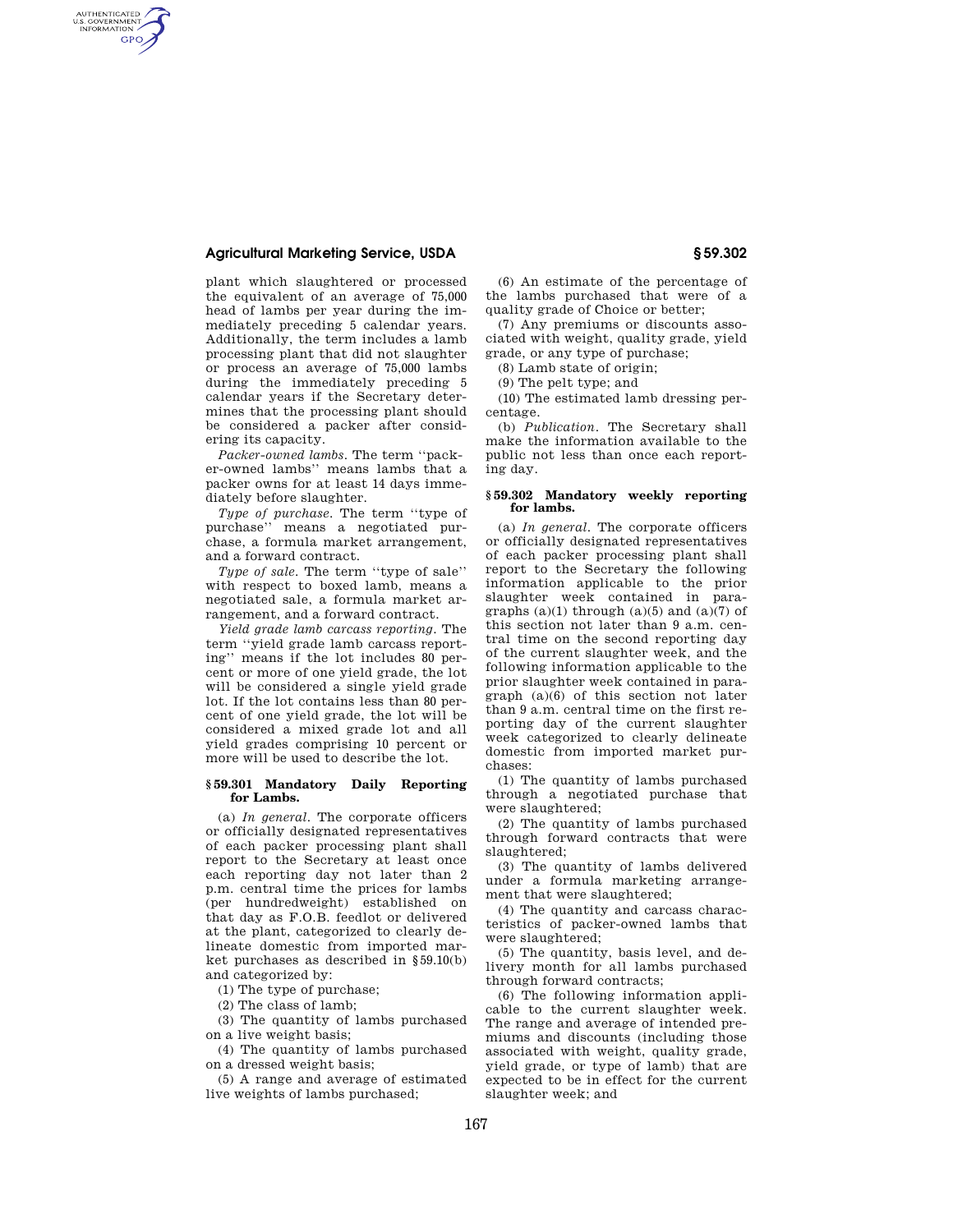# **Agricultural Marketing Service, USDA § 59.302**

AUTHENTICATED<br>U.S. GOVERNMENT<br>INFORMATION **GPO** 

> plant which slaughtered or processed the equivalent of an average of 75,000 head of lambs per year during the immediately preceding 5 calendar years. Additionally, the term includes a lamb processing plant that did not slaughter or process an average of 75,000 lambs during the immediately preceding 5 calendar years if the Secretary determines that the processing plant should be considered a packer after considering its capacity.

> *Packer-owned lambs*. The term ''packer-owned lambs'' means lambs that a packer owns for at least 14 days immediately before slaughter.

> *Type of purchase*. The term ''type of purchase'' means a negotiated purchase, a formula market arrangement, and a forward contract.

> *Type of sale*. The term ''type of sale'' with respect to boxed lamb, means a negotiated sale, a formula market arrangement, and a forward contract.

> *Yield grade lamb carcass reporting*. The term ''yield grade lamb carcass reporting'' means if the lot includes 80 percent or more of one yield grade, the lot will be considered a single yield grade lot. If the lot contains less than 80 percent of one yield grade, the lot will be considered a mixed grade lot and all yield grades comprising 10 percent or more will be used to describe the lot.

## **§ 59.301 Mandatory Daily Reporting for Lambs.**

(a) *In general*. The corporate officers or officially designated representatives of each packer processing plant shall report to the Secretary at least once each reporting day not later than 2 p.m. central time the prices for lambs (per hundredweight) established on that day as F.O.B. feedlot or delivered at the plant, categorized to clearly delineate domestic from imported market purchases as described in §59.10(b) and categorized by:

(1) The type of purchase;

(2) The class of lamb;

(3) The quantity of lambs purchased on a live weight basis;

(4) The quantity of lambs purchased on a dressed weight basis;

(5) A range and average of estimated live weights of lambs purchased;

(6) An estimate of the percentage of the lambs purchased that were of a quality grade of Choice or better;

(7) Any premiums or discounts associated with weight, quality grade, yield grade, or any type of purchase;

(8) Lamb state of origin;

(9) The pelt type; and

(10) The estimated lamb dressing percentage.

(b) *Publication*. The Secretary shall make the information available to the public not less than once each reporting day.

### **§ 59.302 Mandatory weekly reporting for lambs.**

(a) *In general*. The corporate officers or officially designated representatives of each packer processing plant shall report to the Secretary the following information applicable to the prior slaughter week contained in paragraphs  $(a)(1)$  through  $(a)(5)$  and  $(a)(7)$  of this section not later than 9 a.m. central time on the second reporting day of the current slaughter week, and the following information applicable to the prior slaughter week contained in paragraph (a)(6) of this section not later than 9 a.m. central time on the first reporting day of the current slaughter week categorized to clearly delineate domestic from imported market purchases:

(1) The quantity of lambs purchased through a negotiated purchase that were slaughtered;

(2) The quantity of lambs purchased through forward contracts that were slaughtered;

(3) The quantity of lambs delivered under a formula marketing arrangement that were slaughtered;

(4) The quantity and carcass characteristics of packer-owned lambs that were slaughtered;

(5) The quantity, basis level, and delivery month for all lambs purchased through forward contracts;

(6) The following information applicable to the current slaughter week. The range and average of intended premiums and discounts (including those associated with weight, quality grade, yield grade, or type of lamb) that are expected to be in effect for the current slaughter week; and